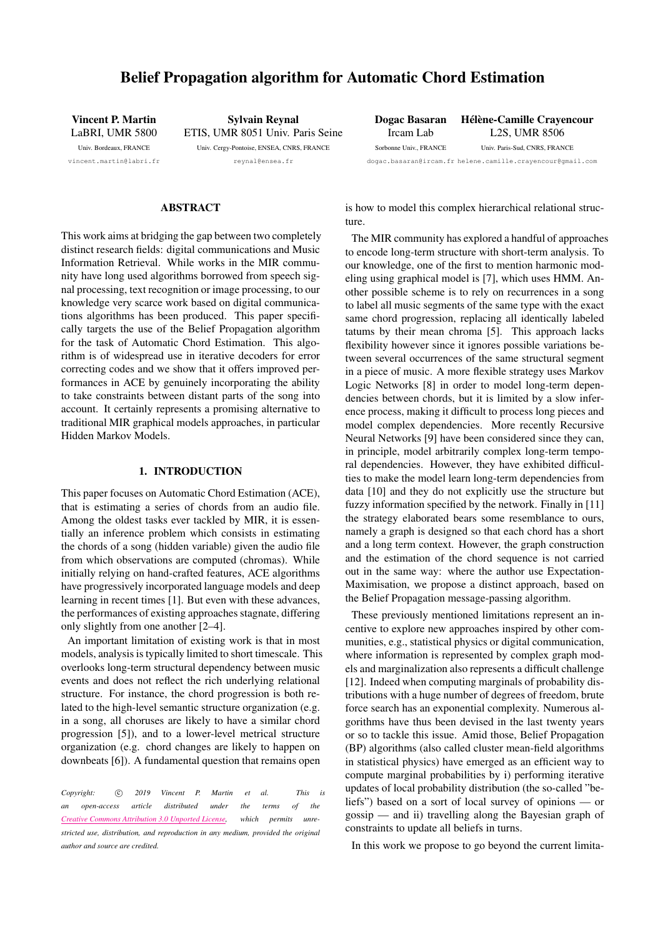# Belief Propagation algorithm for Automatic Chord Estimation

Vincent P. Martin LaBRI, UMR 5800 Univ. Bordeaux, FRANCE [vincent.martin@labri.fr](mailto:vincent.martin@labri.fr)

Sylvain Reynal ETIS, UMR 8051 Univ. Paris Seine Univ. Cergy-Pontoise, ENSEA, CNRS, FRANCE

[reynal@ensea.fr](mailto:reynal@ensea.fr)

#### Dogac Basaran Ircam Lab Sorbonne Univ., FRANCE [dogac.basaran@ircam.fr](mailto:dogac.basaran@ircam.fr) [helene.camille.crayencour@gmail.com](mailto:helene.camille.crayencour@gmail.com) Hélène-Camille Crayencour L2S, UMR 8506 Univ. Paris-Sud, CNRS, FRANCE

# ABSTRACT

This work aims at bridging the gap between two completely distinct research fields: digital communications and Music Information Retrieval. While works in the MIR community have long used algorithms borrowed from speech signal processing, text recognition or image processing, to our knowledge very scarce work based on digital communications algorithms has been produced. This paper specifically targets the use of the Belief Propagation algorithm for the task of Automatic Chord Estimation. This algorithm is of widespread use in iterative decoders for error correcting codes and we show that it offers improved performances in ACE by genuinely incorporating the ability to take constraints between distant parts of the song into account. It certainly represents a promising alternative to traditional MIR graphical models approaches, in particular Hidden Markov Models.

# 1. INTRODUCTION

This paper focuses on Automatic Chord Estimation (ACE), that is estimating a series of chords from an audio file. Among the oldest tasks ever tackled by MIR, it is essentially an inference problem which consists in estimating the chords of a song (hidden variable) given the audio file from which observations are computed (chromas). While initially relying on hand-crafted features, ACE algorithms have progressively incorporated language models and deep learning in recent times [\[1\]](#page-6-0). But even with these advances, the performances of existing approaches stagnate, differing only slightly from one another [\[2–](#page-6-1)[4\]](#page-6-2).

An important limitation of existing work is that in most models, analysis is typically limited to short timescale. This overlooks long-term structural dependency between music events and does not reflect the rich underlying relational structure. For instance, the chord progression is both related to the high-level semantic structure organization (e.g. in a song, all choruses are likely to have a similar chord progression [\[5\]](#page-6-3)), and to a lower-level metrical structure organization (e.g. chord changes are likely to happen on downbeats [\[6\]](#page-6-4)). A fundamental question that remains open

*Copyright:*  $\circled{c}$  *2019 Vincent P. Martin et al. This is an open-access article distributed under the terms of the Creative Commons [Attribution](http://creativecommons.org/licenses/by/3.0/) 3.0 Unported License, which permits unrestricted use, distribution, and reproduction in any medium, provided the original author and source are credited.*

is how to model this complex hierarchical relational structure.

The MIR community has explored a handful of approaches to encode long-term structure with short-term analysis. To our knowledge, one of the first to mention harmonic modeling using graphical model is [\[7\]](#page-6-5), which uses HMM. Another possible scheme is to rely on recurrences in a song to label all music segments of the same type with the exact same chord progression, replacing all identically labeled tatums by their mean chroma [\[5\]](#page-6-3). This approach lacks flexibility however since it ignores possible variations between several occurrences of the same structural segment in a piece of music. A more flexible strategy uses Markov Logic Networks [\[8\]](#page-7-0) in order to model long-term dependencies between chords, but it is limited by a slow inference process, making it difficult to process long pieces and model complex dependencies. More recently Recursive Neural Networks [\[9\]](#page-7-1) have been considered since they can, in principle, model arbitrarily complex long-term temporal dependencies. However, they have exhibited difficulties to make the model learn long-term dependencies from data [\[10\]](#page-7-2) and they do not explicitly use the structure but fuzzy information specified by the network. Finally in [\[11\]](#page-7-3) the strategy elaborated bears some resemblance to ours, namely a graph is designed so that each chord has a short and a long term context. However, the graph construction and the estimation of the chord sequence is not carried out in the same way: where the author use Expectation-Maximisation, we propose a distinct approach, based on the Belief Propagation message-passing algorithm.

These previously mentioned limitations represent an incentive to explore new approaches inspired by other communities, e.g., statistical physics or digital communication, where information is represented by complex graph models and marginalization also represents a difficult challenge [\[12\]](#page-7-4). Indeed when computing marginals of probability distributions with a huge number of degrees of freedom, brute force search has an exponential complexity. Numerous algorithms have thus been devised in the last twenty years or so to tackle this issue. Amid those, Belief Propagation (BP) algorithms (also called cluster mean-field algorithms in statistical physics) have emerged as an efficient way to compute marginal probabilities by i) performing iterative updates of local probability distribution (the so-called "beliefs") based on a sort of local survey of opinions — or gossip — and ii) travelling along the Bayesian graph of constraints to update all beliefs in turns.

In this work we propose to go beyond the current limita-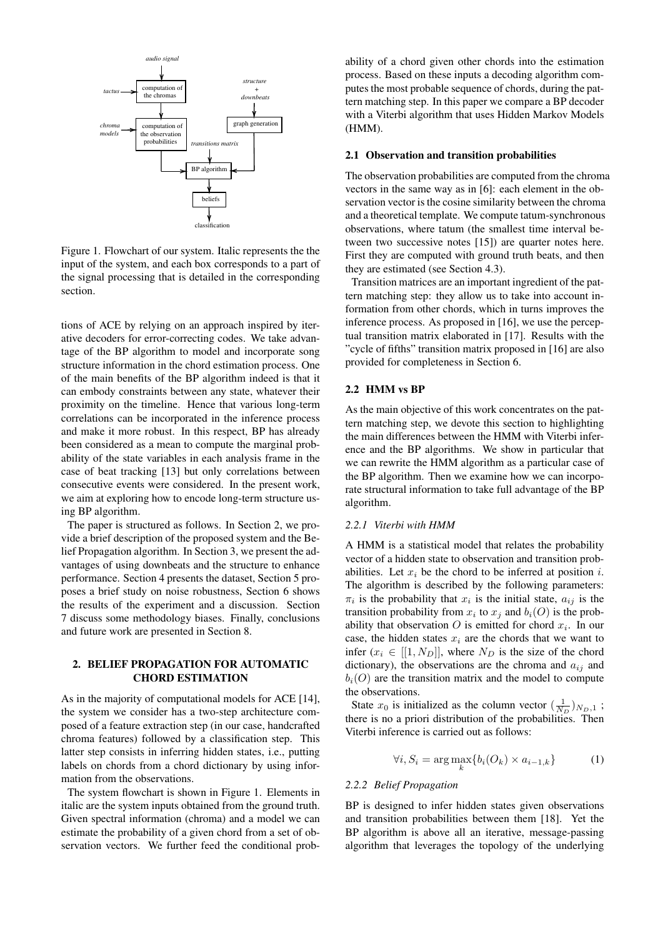<span id="page-1-0"></span>

Figure 1. Flowchart of our system. Italic represents the the input of the system, and each box corresponds to a part of the signal processing that is detailed in the corresponding section.

tions of ACE by relying on an approach inspired by iterative decoders for error-correcting codes. We take advantage of the BP algorithm to model and incorporate song structure information in the chord estimation process. One of the main benefits of the BP algorithm indeed is that it can embody constraints between any state, whatever their proximity on the timeline. Hence that various long-term correlations can be incorporated in the inference process and make it more robust. In this respect, BP has already been considered as a mean to compute the marginal probability of the state variables in each analysis frame in the case of beat tracking [\[13\]](#page-7-5) but only correlations between consecutive events were considered. In the present work, we aim at exploring how to encode long-term structure using BP algorithm.

The paper is structured as follows. In Section 2, we provide a brief description of the proposed system and the Belief Propagation algorithm. In Section 3, we present the advantages of using downbeats and the structure to enhance performance. Section 4 presents the dataset, Section 5 proposes a brief study on noise robustness, Section 6 shows the results of the experiment and a discussion. Section 7 discuss some methodology biases. Finally, conclusions and future work are presented in Section 8.

# 2. BELIEF PROPAGATION FOR AUTOMATIC CHORD ESTIMATION

As in the majority of computational models for ACE [\[14\]](#page-7-6), the system we consider has a two-step architecture composed of a feature extraction step (in our case, handcrafted chroma features) followed by a classification step. This latter step consists in inferring hidden states, i.e., putting labels on chords from a chord dictionary by using information from the observations.

The system flowchart is shown in Figure [1.](#page-1-0) Elements in italic are the system inputs obtained from the ground truth. Given spectral information (chroma) and a model we can estimate the probability of a given chord from a set of observation vectors. We further feed the conditional probability of a chord given other chords into the estimation process. Based on these inputs a decoding algorithm computes the most probable sequence of chords, during the pattern matching step. In this paper we compare a BP decoder with a Viterbi algorithm that uses Hidden Markov Models (HMM).

#### 2.1 Observation and transition probabilities

The observation probabilities are computed from the chroma vectors in the same way as in [\[6\]](#page-6-4): each element in the observation vector is the cosine similarity between the chroma and a theoretical template. We compute tatum-synchronous observations, where tatum (the smallest time interval between two successive notes [\[15\]](#page-7-7)) are quarter notes here. First they are computed with ground truth beats, and then they are estimated (see Section [4.3\)](#page-4-0).

Transition matrices are an important ingredient of the pattern matching step: they allow us to take into account information from other chords, which in turns improves the inference process. As proposed in [\[16\]](#page-7-8), we use the perceptual transition matrix elaborated in [\[17\]](#page-7-9). Results with the "cycle of fifths" transition matrix proposed in [\[16\]](#page-7-8) are also provided for completeness in Section [6.](#page-5-0)

### <span id="page-1-1"></span>2.2 HMM vs BP

As the main objective of this work concentrates on the pattern matching step, we devote this section to highlighting the main differences between the HMM with Viterbi inference and the BP algorithms. We show in particular that we can rewrite the HMM algorithm as a particular case of the BP algorithm. Then we examine how we can incorporate structural information to take full advantage of the BP algorithm.

#### *2.2.1 Viterbi with HMM*

A HMM is a statistical model that relates the probability vector of a hidden state to observation and transition probabilities. Let  $x_i$  be the chord to be inferred at position i. The algorithm is described by the following parameters:  $\pi_i$  is the probability that  $x_i$  is the initial state,  $a_{ij}$  is the transition probability from  $x_i$  to  $x_j$  and  $b_i(O)$  is the probability that observation O is emitted for chord  $x_i$ . In our case, the hidden states  $x_i$  are the chords that we want to infer  $(x_i \in [[1, N_D]],$  where  $N_D$  is the size of the chord dictionary), the observations are the chroma and  $a_{ij}$  and  $b_i(O)$  are the transition matrix and the model to compute the observations.

State  $x_0$  is initialized as the column vector  $(\frac{1}{N_D})_{N_D,1}$ ; there is no a priori distribution of the probabilities. Then Viterbi inference is carried out as follows:

$$
\forall i, S_i = \arg \max_k \{ b_i(O_k) \times a_{i-1,k} \}
$$
 (1)

# *2.2.2 Belief Propagation*

BP is designed to infer hidden states given observations and transition probabilities between them [\[18\]](#page-7-10). Yet the BP algorithm is above all an iterative, message-passing algorithm that leverages the topology of the underlying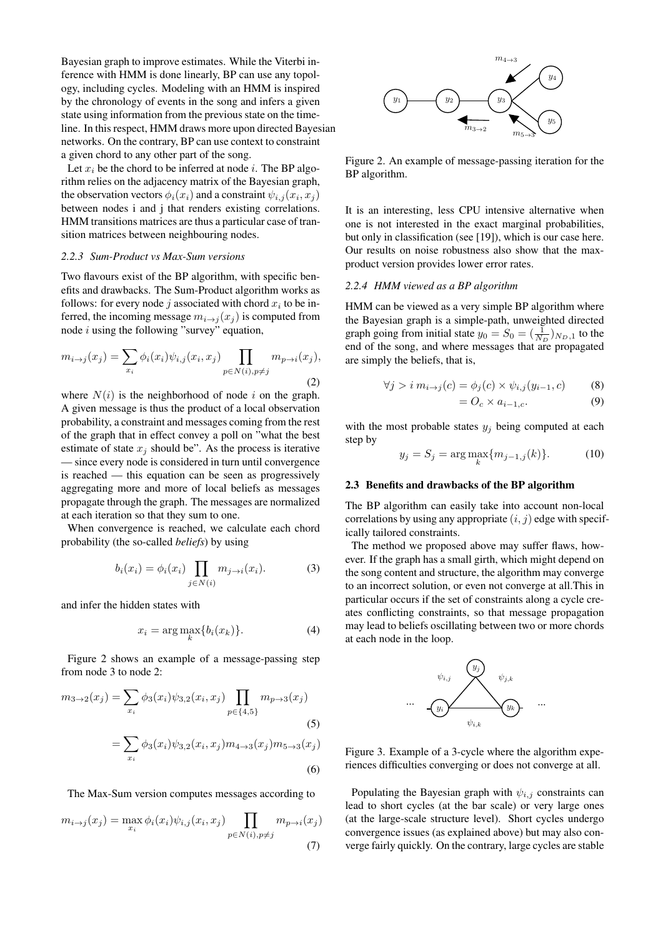Bayesian graph to improve estimates. While the Viterbi inference with HMM is done linearly, BP can use any topology, including cycles. Modeling with an HMM is inspired by the chronology of events in the song and infers a given state using information from the previous state on the timeline. In this respect, HMM draws more upon directed Bayesian networks. On the contrary, BP can use context to constraint a given chord to any other part of the song.

Let  $x_i$  be the chord to be inferred at node *i*. The BP algorithm relies on the adjacency matrix of the Bayesian graph, the observation vectors  $\phi_i(x_i)$  and a constraint  $\psi_{i,j}(x_i, x_j)$ between nodes i and j that renders existing correlations. HMM transitions matrices are thus a particular case of transition matrices between neighbouring nodes.

### *2.2.3 Sum-Product vs Max-Sum versions*

Two flavours exist of the BP algorithm, with specific benefits and drawbacks. The Sum-Product algorithm works as follows: for every node j associated with chord  $x_i$  to be inferred, the incoming message  $m_{i\rightarrow j}(x_j)$  is computed from node  $i$  using the following "survey" equation,

$$
m_{i \to j}(x_j) = \sum_{x_i} \phi_i(x_i) \psi_{i,j}(x_i, x_j) \prod_{p \in N(i), p \neq j} m_{p \to i}(x_j),
$$
\n(2)

where  $N(i)$  is the neighborhood of node i on the graph. A given message is thus the product of a local observation probability, a constraint and messages coming from the rest of the graph that in effect convey a poll on "what the best estimate of state  $x_j$  should be". As the process is iterative — since every node is considered in turn until convergence is reached — this equation can be seen as progressively aggregating more and more of local beliefs as messages propagate through the graph. The messages are normalized at each iteration so that they sum to one.

When convergence is reached, we calculate each chord probability (the so-called *beliefs*) by using

$$
b_i(x_i) = \phi_i(x_i) \prod_{j \in N(i)} m_{j \to i}(x_i).
$$
 (3)

and infer the hidden states with

$$
x_i = \arg\max_k \{b_i(x_k)\}.
$$
 (4)

Figure [2](#page-2-0) shows an example of a message-passing step from node 3 to node 2:

$$
m_{3\to 2}(x_j) = \sum_{x_i} \phi_3(x_i)\psi_{3,2}(x_i, x_j) \prod_{p \in \{4,5\}} m_{p \to 3}(x_j)
$$
\n
$$
= \sum_{x_i} \phi_3(x_i)\psi_{3,2}(x_i, x_j) m_{4\to 3}(x_j) m_{5\to 3}(x_j)
$$
\n(6)

The Max-Sum version computes messages according to

$$
m_{i \to j}(x_j) = \max_{x_i} \phi_i(x_i) \psi_{i,j}(x_i, x_j) \prod_{p \in N(i), p \neq j} m_{p \to i}(x_j)
$$
\n(7)

<span id="page-2-0"></span>

Figure 2. An example of message-passing iteration for the BP algorithm.

It is an interesting, less CPU intensive alternative when one is not interested in the exact marginal probabilities, but only in classification (see [\[19\]](#page-7-11)), which is our case here. Our results on noise robustness also show that the maxproduct version provides lower error rates.

#### *2.2.4 HMM viewed as a BP algorithm*

HMM can be viewed as a very simple BP algorithm where the Bayesian graph is a simple-path, unweighted directed graph going from initial state  $y_0 = S_0 = (\frac{1}{N_D})_{N_D,1}$  to the end of the song, and where messages that are propagated are simply the beliefs, that is,

$$
\forall j > i \ m_{i \to j}(c) = \phi_j(c) \times \psi_{i,j}(y_{i-1}, c)
$$
 (8)

$$
= O_c \times a_{i-1,c}.\tag{9}
$$

with the most probable states  $y_j$  being computed at each step by

$$
y_j = S_j = \arg\max_k \{ m_{j-1,j}(k) \}.
$$
 (10)

#### <span id="page-2-1"></span>2.3 Benefits and drawbacks of the BP algorithm

The BP algorithm can easily take into account non-local correlations by using any appropriate  $(i, j)$  edge with specifically tailored constraints.

The method we proposed above may suffer flaws, however. If the graph has a small girth, which might depend on the song content and structure, the algorithm may converge to an incorrect solution, or even not converge at all.This in particular occurs if the set of constraints along a cycle creates conflicting constraints, so that message propagation may lead to beliefs oscillating between two or more chords at each node in the loop.



Figure 3. Example of a 3-cycle where the algorithm experiences difficulties converging or does not converge at all.

Populating the Bayesian graph with  $\psi_{i,j}$  constraints can lead to short cycles (at the bar scale) or very large ones (at the large-scale structure level). Short cycles undergo convergence issues (as explained above) but may also converge fairly quickly. On the contrary, large cycles are stable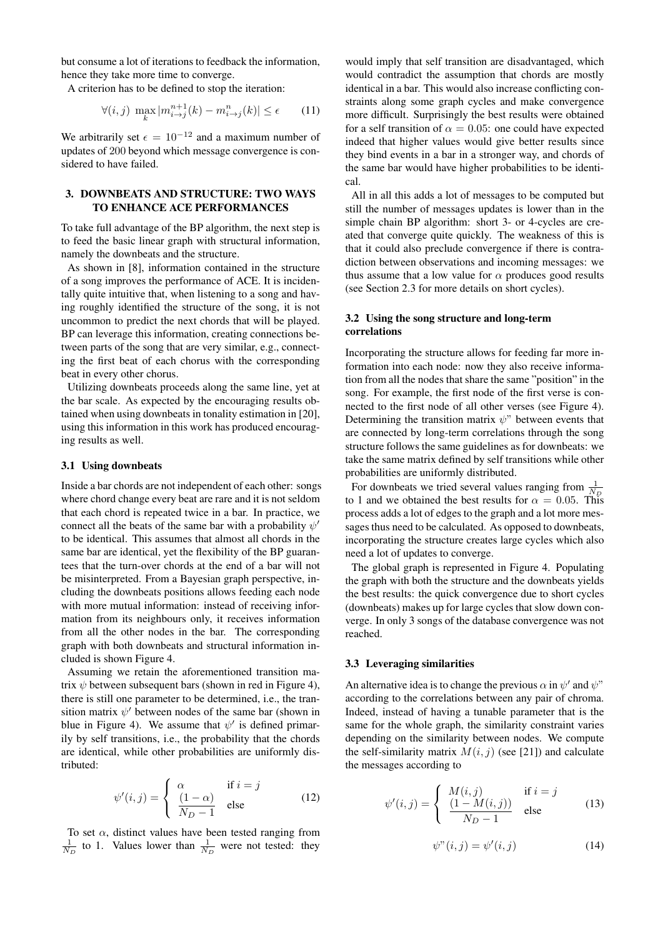but consume a lot of iterations to feedback the information, hence they take more time to converge.

A criterion has to be defined to stop the iteration:

$$
\forall (i,j) \ \max_{k} |m_{i \to j}^{n+1}(k) - m_{i \to j}^{n}(k)| \le \epsilon \qquad (11)
$$

We arbitrarily set  $\epsilon = 10^{-12}$  and a maximum number of updates of 200 beyond which message convergence is considered to have failed.

# 3. DOWNBEATS AND STRUCTURE: TWO WAYS TO ENHANCE ACE PERFORMANCES

To take full advantage of the BP algorithm, the next step is to feed the basic linear graph with structural information, namely the downbeats and the structure.

As shown in [\[8\]](#page-7-0), information contained in the structure of a song improves the performance of ACE. It is incidentally quite intuitive that, when listening to a song and having roughly identified the structure of the song, it is not uncommon to predict the next chords that will be played. BP can leverage this information, creating connections between parts of the song that are very similar, e.g., connecting the first beat of each chorus with the corresponding beat in every other chorus.

Utilizing downbeats proceeds along the same line, yet at the bar scale. As expected by the encouraging results obtained when using downbeats in tonality estimation in [\[20\]](#page-7-12), using this information in this work has produced encouraging results as well.

#### 3.1 Using downbeats

Inside a bar chords are not independent of each other: songs where chord change every beat are rare and it is not seldom that each chord is repeated twice in a bar. In practice, we connect all the beats of the same bar with a probability  $\psi'$ to be identical. This assumes that almost all chords in the same bar are identical, yet the flexibility of the BP guarantees that the turn-over chords at the end of a bar will not be misinterpreted. From a Bayesian graph perspective, including the downbeats positions allows feeding each node with more mutual information: instead of receiving information from its neighbours only, it receives information from all the other nodes in the bar. The corresponding graph with both downbeats and structural information included is shown Figure [4.](#page-4-1)

Assuming we retain the aforementioned transition matrix  $\psi$  between subsequent bars (shown in red in Figure [4\)](#page-4-1), there is still one parameter to be determined, i.e., the transition matrix  $\psi'$  between nodes of the same bar (shown in blue in Figure [4\)](#page-4-1). We assume that  $\psi'$  is defined primarily by self transitions, i.e., the probability that the chords are identical, while other probabilities are uniformly distributed:

$$
\psi'(i,j) = \begin{cases} \alpha & \text{if } i = j \\ \frac{(1-\alpha)}{N_D - 1} & \text{else} \end{cases}
$$
 (12)

To set  $\alpha$ , distinct values have been tested ranging from  $\frac{1}{N_D}$  to 1. Values lower than  $\frac{1}{N_D}$  were not tested: they

would imply that self transition are disadvantaged, which would contradict the assumption that chords are mostly identical in a bar. This would also increase conflicting constraints along some graph cycles and make convergence more difficult. Surprisingly the best results were obtained for a self transition of  $\alpha = 0.05$ : one could have expected indeed that higher values would give better results since they bind events in a bar in a stronger way, and chords of the same bar would have higher probabilities to be identical.

All in all this adds a lot of messages to be computed but still the number of messages updates is lower than in the simple chain BP algorithm: short 3- or 4-cycles are created that converge quite quickly. The weakness of this is that it could also preclude convergence if there is contradiction between observations and incoming messages: we thus assume that a low value for  $\alpha$  produces good results (see Section [2.3](#page-2-1) for more details on short cycles).

# 3.2 Using the song structure and long-term correlations

Incorporating the structure allows for feeding far more information into each node: now they also receive information from all the nodes that share the same "position" in the song. For example, the first node of the first verse is connected to the first node of all other verses (see Figure [4\)](#page-4-1). Determining the transition matrix  $\psi$ " between events that are connected by long-term correlations through the song structure follows the same guidelines as for downbeats: we take the same matrix defined by self transitions while other probabilities are uniformly distributed.

For downbeats we tried several values ranging from  $\frac{1}{N_D}$ to 1 and we obtained the best results for  $\alpha = 0.05$ . This process adds a lot of edges to the graph and a lot more messages thus need to be calculated. As opposed to downbeats, incorporating the structure creates large cycles which also need a lot of updates to converge.

The global graph is represented in Figure [4.](#page-4-1) Populating the graph with both the structure and the downbeats yields the best results: the quick convergence due to short cycles (downbeats) makes up for large cycles that slow down converge. In only 3 songs of the database convergence was not reached.

### <span id="page-3-0"></span>3.3 Leveraging similarities

An alternative idea is to change the previous  $\alpha$  in  $\psi'$  and  $\psi''$ according to the correlations between any pair of chroma. Indeed, instead of having a tunable parameter that is the same for the whole graph, the similarity constraint varies depending on the similarity between nodes. We compute the self-similarity matrix  $M(i, j)$  (see [\[21\]](#page-7-13)) and calculate the messages according to

$$
\psi'(i,j) = \begin{cases}\nM(i,j) & \text{if } i = j \\
\frac{(1 - M(i,j))}{N_D - 1} & \text{else}\n\end{cases}
$$
\n(13)

$$
\psi''(i,j) = \psi'(i,j) \tag{14}
$$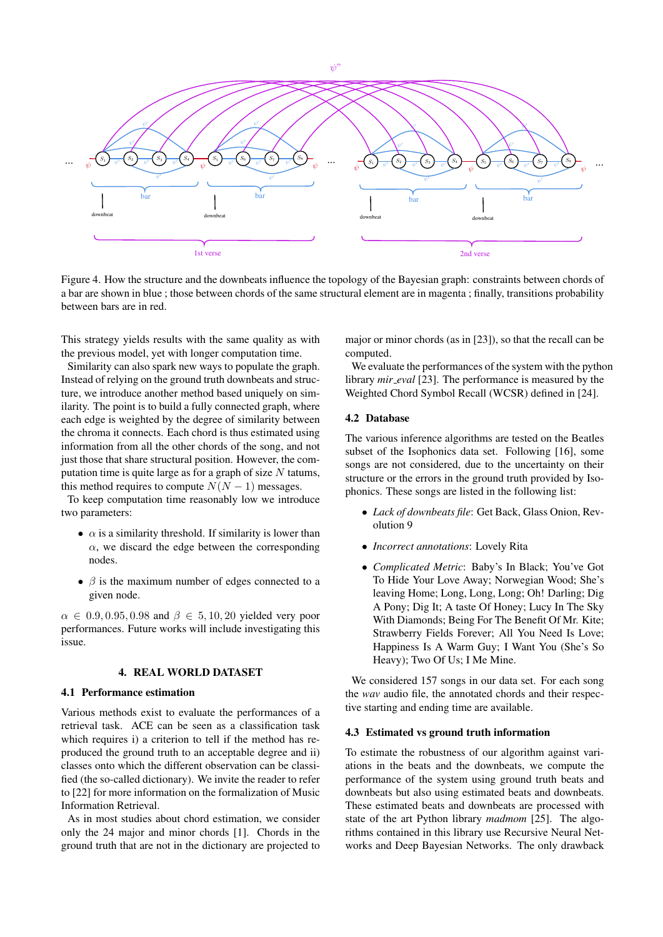

<span id="page-4-1"></span>Figure 4. How the structure and the downbeats influence the topology of the Bayesian graph: constraints between chords of a bar are shown in blue ; those between chords of the same structural element are in magenta ; finally, transitions probability between bars are in red.

This strategy yields results with the same quality as with the previous model, yet with longer computation time.

Similarity can also spark new ways to populate the graph. Instead of relying on the ground truth downbeats and structure, we introduce another method based uniquely on similarity. The point is to build a fully connected graph, where each edge is weighted by the degree of similarity between the chroma it connects. Each chord is thus estimated using information from all the other chords of the song, and not just those that share structural position. However, the computation time is quite large as for a graph of size  $N$  tatums, this method requires to compute  $N(N-1)$  messages.

To keep computation time reasonably low we introduce two parameters:

- $\alpha$  is a similarity threshold. If similarity is lower than  $\alpha$ , we discard the edge between the corresponding nodes.
- $\beta$  is the maximum number of edges connected to a given node.

 $\alpha \in 0.9, 0.95, 0.98$  and  $\beta \in 5, 10, 20$  yielded very poor performances. Future works will include investigating this issue.

# 4. REAL WORLD DATASET

# 4.1 Performance estimation

Various methods exist to evaluate the performances of a retrieval task. ACE can be seen as a classification task which requires i) a criterion to tell if the method has reproduced the ground truth to an acceptable degree and ii) classes onto which the different observation can be classified (the so-called dictionary). We invite the reader to refer to [\[22\]](#page-7-14) for more information on the formalization of Music Information Retrieval.

As in most studies about chord estimation, we consider only the 24 major and minor chords [\[1\]](#page-6-0). Chords in the ground truth that are not in the dictionary are projected to major or minor chords (as in [\[23\]](#page-7-15)), so that the recall can be computed.

We evaluate the performances of the system with the python library *mir\_eval* [\[23\]](#page-7-15). The performance is measured by the Weighted Chord Symbol Recall (WCSR) defined in [\[24\]](#page-7-16).

# 4.2 Database

The various inference algorithms are tested on the Beatles subset of the Isophonics data set. Following [\[16\]](#page-7-8), some songs are not considered, due to the uncertainty on their structure or the errors in the ground truth provided by Isophonics. These songs are listed in the following list:

- *Lack of downbeats file*: Get Back, Glass Onion, Revolution 9
- *Incorrect annotations*: Lovely Rita
- *Complicated Metric*: Baby's In Black; You've Got To Hide Your Love Away; Norwegian Wood; She's leaving Home; Long, Long, Long; Oh! Darling; Dig A Pony; Dig It; A taste Of Honey; Lucy In The Sky With Diamonds; Being For The Benefit Of Mr. Kite; Strawberry Fields Forever; All You Need Is Love; Happiness Is A Warm Guy; I Want You (She's So Heavy); Two Of Us; I Me Mine.

We considered 157 songs in our data set. For each song the *wav* audio file, the annotated chords and their respective starting and ending time are available.

#### <span id="page-4-0"></span>4.3 Estimated vs ground truth information

To estimate the robustness of our algorithm against variations in the beats and the downbeats, we compute the performance of the system using ground truth beats and downbeats but also using estimated beats and downbeats. These estimated beats and downbeats are processed with state of the art Python library *madmom* [\[25\]](#page-7-17). The algorithms contained in this library use Recursive Neural Networks and Deep Bayesian Networks. The only drawback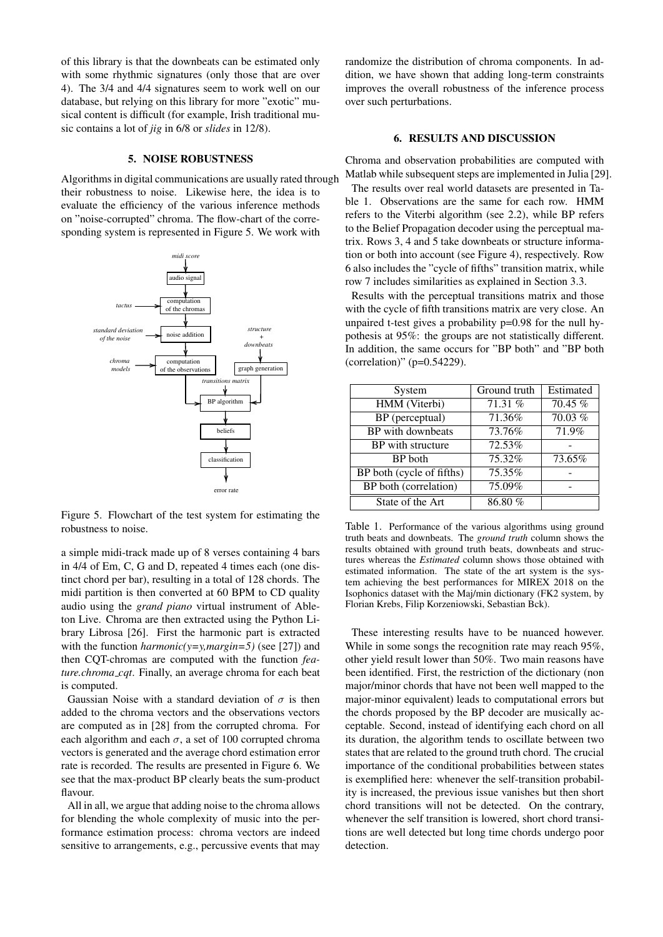of this library is that the downbeats can be estimated only with some rhythmic signatures (only those that are over 4). The 3/4 and 4/4 signatures seem to work well on our database, but relying on this library for more "exotic" musical content is difficult (for example, Irish traditional music contains a lot of *jig* in 6/8 or *slides* in 12/8).

### 5. NOISE ROBUSTNESS

Algorithms in digital communications are usually rated through their robustness to noise. Likewise here, the idea is to evaluate the efficiency of the various inference methods on "noise-corrupted" chroma. The flow-chart of the corresponding system is represented in Figure [5.](#page-5-1) We work with

<span id="page-5-1"></span>

Figure 5. Flowchart of the test system for estimating the robustness to noise.

a simple midi-track made up of 8 verses containing 4 bars in 4/4 of Em, C, G and D, repeated 4 times each (one distinct chord per bar), resulting in a total of 128 chords. The midi partition is then converted at 60 BPM to CD quality audio using the *grand piano* virtual instrument of Ableton Live. Chroma are then extracted using the Python Library Librosa [\[26\]](#page-7-18). First the harmonic part is extracted with the function *harmonic*(y=y,*margin*=5) (see [\[27\]](#page-7-19)) and then CQT-chromas are computed with the function *feature.chroma cqt*. Finally, an average chroma for each beat is computed.

Gaussian Noise with a standard deviation of  $\sigma$  is then added to the chroma vectors and the observations vectors are computed as in [\[28\]](#page-7-20) from the corrupted chroma. For each algorithm and each  $\sigma$ , a set of 100 corrupted chroma vectors is generated and the average chord estimation error rate is recorded. The results are presented in Figure [6.](#page-6-6) We see that the max-product BP clearly beats the sum-product flavour.

All in all, we argue that adding noise to the chroma allows for blending the whole complexity of music into the performance estimation process: chroma vectors are indeed sensitive to arrangements, e.g., percussive events that may randomize the distribution of chroma components. In addition, we have shown that adding long-term constraints improves the overall robustness of the inference process over such perturbations.

### 6. RESULTS AND DISCUSSION

<span id="page-5-0"></span>Chroma and observation probabilities are computed with Matlab while subsequent steps are implemented in Julia [\[29\]](#page-7-21).

The results over real world datasets are presented in Table [1.](#page-5-2) Observations are the same for each row. HMM refers to the Viterbi algorithm (see [2.2\)](#page-1-1), while BP refers to the Belief Propagation decoder using the perceptual matrix. Rows 3, 4 and 5 take downbeats or structure information or both into account (see Figure [4\)](#page-4-1), respectively. Row 6 also includes the "cycle of fifths" transition matrix, while row 7 includes similarities as explained in Section [3.3.](#page-3-0)

Results with the perceptual transitions matrix and those with the cycle of fifth transitions matrix are very close. An unpaired t-test gives a probability p=0.98 for the null hypothesis at 95%: the groups are not statistically different. In addition, the same occurs for "BP both" and "BP both (correlation)" (p=0.54229).

<span id="page-5-2"></span>

| System                    | Ground truth | Estimated |
|---------------------------|--------------|-----------|
| HMM (Viterbi)             | 71.31%       | $70.45\%$ |
| BP (perceptual)           | 71.36%       | 70.03 %   |
| BP with downbeats         | 73.76%       | 71.9%     |
| BP with structure         | 72.53%       |           |
| BP both                   | 75.32%       | 73.65%    |
| BP both (cycle of fifths) | 75.35%       |           |
| BP both (correlation)     | 75.09%       |           |
| State of the Art          | 86.80%       |           |

Table 1. Performance of the various algorithms using ground truth beats and downbeats. The *ground truth* column shows the results obtained with ground truth beats, downbeats and structures whereas the *Estimated* column shows those obtained with estimated information. The state of the art system is the system achieving the best performances for MIREX 2018 on the Isophonics dataset with the Maj/min dictionary (FK2 system, by Florian Krebs, Filip Korzeniowski, Sebastian Bck).

These interesting results have to be nuanced however. While in some songs the recognition rate may reach 95%, other yield result lower than 50%. Two main reasons have been identified. First, the restriction of the dictionary (non major/minor chords that have not been well mapped to the major-minor equivalent) leads to computational errors but the chords proposed by the BP decoder are musically acceptable. Second, instead of identifying each chord on all its duration, the algorithm tends to oscillate between two states that are related to the ground truth chord. The crucial importance of the conditional probabilities between states is exemplified here: whenever the self-transition probability is increased, the previous issue vanishes but then short chord transitions will not be detected. On the contrary, whenever the self transition is lowered, short chord transitions are well detected but long time chords undergo poor detection.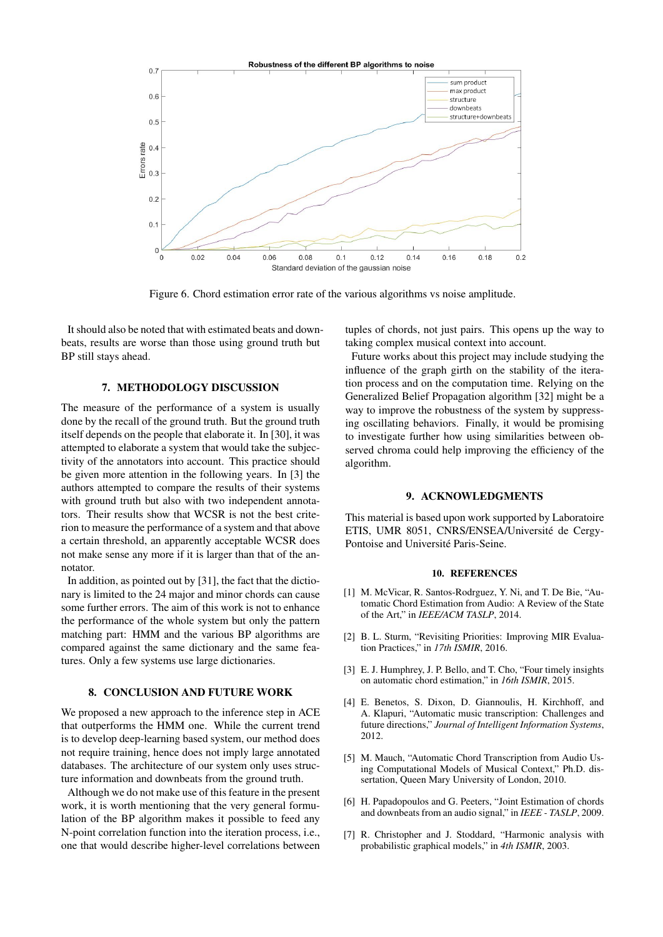

<span id="page-6-6"></span>Figure 6. Chord estimation error rate of the various algorithms vs noise amplitude.

It should also be noted that with estimated beats and downbeats, results are worse than those using ground truth but BP still stays ahead.

# 7. METHODOLOGY DISCUSSION

The measure of the performance of a system is usually done by the recall of the ground truth. But the ground truth itself depends on the people that elaborate it. In [\[30\]](#page-7-22), it was attempted to elaborate a system that would take the subjectivity of the annotators into account. This practice should be given more attention in the following years. In [\[3\]](#page-6-7) the authors attempted to compare the results of their systems with ground truth but also with two independent annotators. Their results show that WCSR is not the best criterion to measure the performance of a system and that above a certain threshold, an apparently acceptable WCSR does not make sense any more if it is larger than that of the annotator.

In addition, as pointed out by [\[31\]](#page-7-23), the fact that the dictionary is limited to the 24 major and minor chords can cause some further errors. The aim of this work is not to enhance the performance of the whole system but only the pattern matching part: HMM and the various BP algorithms are compared against the same dictionary and the same features. Only a few systems use large dictionaries.

# 8. CONCLUSION AND FUTURE WORK

We proposed a new approach to the inference step in ACE that outperforms the HMM one. While the current trend is to develop deep-learning based system, our method does not require training, hence does not imply large annotated databases. The architecture of our system only uses structure information and downbeats from the ground truth.

Although we do not make use of this feature in the present work, it is worth mentioning that the very general formulation of the BP algorithm makes it possible to feed any N-point correlation function into the iteration process, i.e., one that would describe higher-level correlations between tuples of chords, not just pairs. This opens up the way to taking complex musical context into account.

Future works about this project may include studying the influence of the graph girth on the stability of the iteration process and on the computation time. Relying on the Generalized Belief Propagation algorithm [\[32\]](#page-7-24) might be a way to improve the robustness of the system by suppressing oscillating behaviors. Finally, it would be promising to investigate further how using similarities between observed chroma could help improving the efficiency of the algorithm.

# 9. ACKNOWLEDGMENTS

This material is based upon work supported by Laboratoire ETIS, UMR 8051, CNRS/ENSEA/Université de Cergy-Pontoise and Université Paris-Seine.

#### 10. REFERENCES

- <span id="page-6-0"></span>[1] M. McVicar, R. Santos-Rodrguez, Y. Ni, and T. De Bie, "Automatic Chord Estimation from Audio: A Review of the State of the Art," in *IEEE/ACM TASLP*, 2014.
- <span id="page-6-1"></span>[2] B. L. Sturm, "Revisiting Priorities: Improving MIR Evaluation Practices," in *17th ISMIR*, 2016.
- <span id="page-6-7"></span>[3] E. J. Humphrey, J. P. Bello, and T. Cho, "Four timely insights on automatic chord estimation," in *16th ISMIR*, 2015.
- <span id="page-6-2"></span>[4] E. Benetos, S. Dixon, D. Giannoulis, H. Kirchhoff, and A. Klapuri, "Automatic music transcription: Challenges and future directions," *Journal of Intelligent Information Systems*, 2012.
- <span id="page-6-3"></span>[5] M. Mauch, "Automatic Chord Transcription from Audio Using Computational Models of Musical Context," Ph.D. dissertation, Queen Mary University of London, 2010.
- <span id="page-6-4"></span>[6] H. Papadopoulos and G. Peeters, "Joint Estimation of chords and downbeats from an audio signal," in *IEEE - TASLP*, 2009.
- <span id="page-6-5"></span>[7] R. Christopher and J. Stoddard, "Harmonic analysis with probabilistic graphical models," in *4th ISMIR*, 2003.